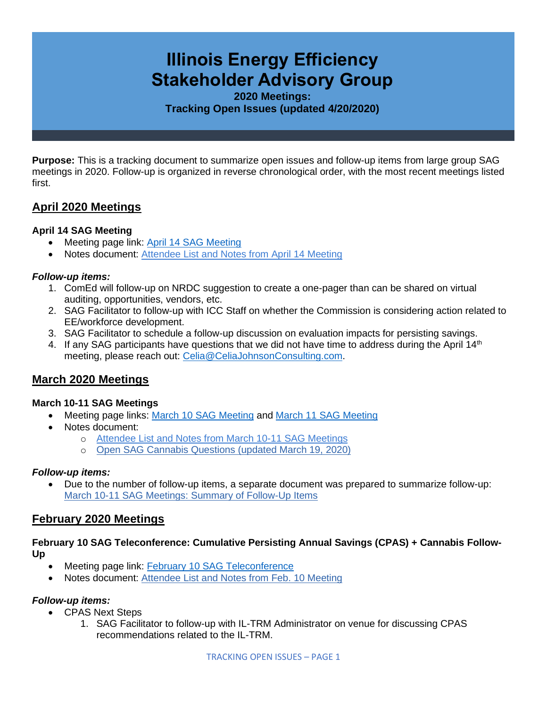# **Illinois Energy Efficiency Stakeholder Advisory Group**

**2020 Meetings: Tracking Open Issues (updated 4/20/2020)**

**Purpose:** This is a tracking document to summarize open issues and follow-up items from large group SAG meetings in 2020. Follow-up is organized in reverse chronological order, with the most recent meetings listed first.

# **April 2020 Meetings**

#### **April 14 SAG Meeting**

- Meeting page link: [April 14 SAG Meeting](https://www.ilsag.info/event/tuesday-april-14-sag-meeting/)
- Notes document: [Attendee List and Notes from April 14 Meeting](https://s3.amazonaws.com/ilsag/SAG_April-14-2020_Meeting_Attendees_and_Notes_Final.pdf)

#### *Follow-up items:*

- 1. ComEd will follow-up on NRDC suggestion to create a one-pager than can be shared on virtual auditing, opportunities, vendors, etc.
- 2. SAG Facilitator to follow-up with ICC Staff on whether the Commission is considering action related to EE/workforce development.
- 3. SAG Facilitator to schedule a follow-up discussion on evaluation impacts for persisting savings.
- 4. If any SAG participants have questions that we did not have time to address during the April 14<sup>th</sup> meeting, please reach out: [Celia@CeliaJohnsonConsulting.com.](mailto:Celia@CeliaJohnsonConsulting.com)

# **March 2020 Meetings**

#### **March 10-11 SAG Meetings**

- Meeting page links: [March 10 SAG Meeting](https://www.ilsag.info/event/tuesday-march-10-sag-meeting/) and [March 11 SAG Meeting](https://www.ilsag.info/event/wednesday-march-11-sag-meeting/)
- Notes document:
	- o [Attendee List and Notes from March 10-11 SAG Meetings](https://s3.amazonaws.com/ilsag/SAG_March_10-11-2020_Meetings_Attendees_and_Notes_Final.pdf)
	- o [Open SAG Cannabis Questions \(updated March 19, 2020\)](https://s3.amazonaws.com/ilsag/SAG-Open-Cannabis-Questions_updated-3-19-2020.pdf)

#### *Follow-up items:*

• Due to the number of follow-up items, a separate document was prepared to summarize follow-up: [March 10-11 SAG Meetings: Summary of Follow-Up Items](https://s3.amazonaws.com/ilsag/SAG_March-10-11_2020_Meetings_Summary-of-Follow-Up-Items_Final.pdf)

## **February 2020 Meetings**

**February 10 SAG Teleconference: Cumulative Persisting Annual Savings (CPAS) + Cannabis Follow-Up**

- Meeting page link: [February 10 SAG Teleconference](https://www.ilsag.info/event/monday-february-10-sag-teleconference/)
- Notes document: [Attendee List and Notes from Feb. 10 Meeting](https://s3.amazonaws.com/ilsag/Large_Group_SAG_Meeting_Monday-Feb-10-2020_Attendees_and_Notes_Final.pdf)

#### *Follow-up items:*

- CPAS Next Steps
	- 1. SAG Facilitator to follow-up with IL-TRM Administrator on venue for discussing CPAS recommendations related to the IL-TRM.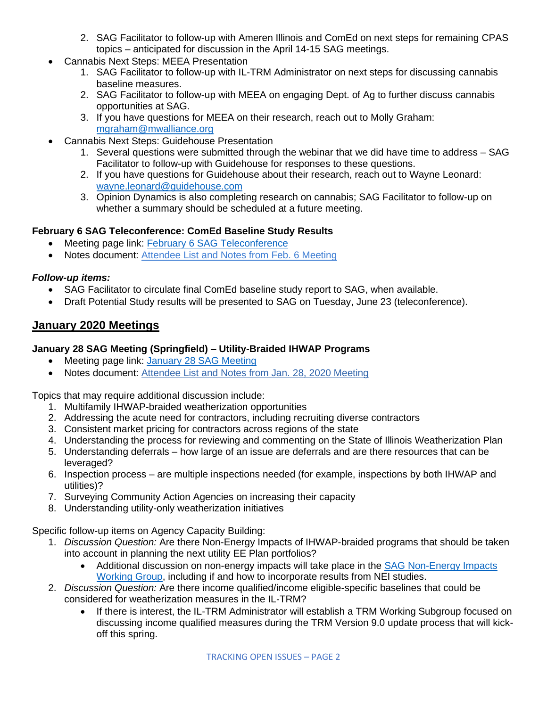- 2. SAG Facilitator to follow-up with Ameren Illinois and ComEd on next steps for remaining CPAS topics – anticipated for discussion in the April 14-15 SAG meetings.
- Cannabis Next Steps: MEEA Presentation
	- 1. SAG Facilitator to follow-up with IL-TRM Administrator on next steps for discussing cannabis baseline measures.
	- 2. SAG Facilitator to follow-up with MEEA on engaging Dept. of Ag to further discuss cannabis opportunities at SAG.
	- 3. If you have questions for MEEA on their research, reach out to Molly Graham: [mgraham@mwalliance.org](mailto:mgraham@mwalliance.org)
	- Cannabis Next Steps: Guidehouse Presentation
		- 1. Several questions were submitted through the webinar that we did have time to address SAG Facilitator to follow-up with Guidehouse for responses to these questions.
		- 2. If you have questions for Guidehouse about their research, reach out to Wayne Leonard: [wayne.leonard@guidehouse.com](mailto:wayne.leonard@guidehouse.com)
		- 3. Opinion Dynamics is also completing research on cannabis; SAG Facilitator to follow-up on whether a summary should be scheduled at a future meeting.

## **February 6 SAG Teleconference: ComEd Baseline Study Results**

- Meeting page link: [February 6 SAG Teleconference](https://www.ilsag.info/event/thursday-february-6-sag-teleconference/)
- Notes document: [Attendee List and Notes from Feb. 6 Meeting](https://s3.amazonaws.com/ilsag/Large_Group_SAG_Meeting_Thursday-Feb-6-2020_Attendees_and_Notes_Final.pdf)

## *Follow-up items:*

- SAG Facilitator to circulate final ComEd baseline study report to SAG, when available.
- Draft Potential Study results will be presented to SAG on Tuesday, June 23 (teleconference).

# **January 2020 Meetings**

#### **January 28 SAG Meeting (Springfield) – Utility-Braided IHWAP Programs**

- Meeting page link: [January 28 SAG Meeting](https://www.ilsag.info/event/tuesday-january-28-sag-meeting/)
- Notes document: [Attendee List and Notes from Jan. 28, 2020 Meeting](https://s3.amazonaws.com/ilsag/Large_Group_SAG_Meeting_Tuesday_Jan-28-2020_Attendees_and_Notes_Final.pdf)

Topics that may require additional discussion include:

- 1. Multifamily IHWAP-braided weatherization opportunities
- 2. Addressing the acute need for contractors, including recruiting diverse contractors
- 3. Consistent market pricing for contractors across regions of the state
- 4. Understanding the process for reviewing and commenting on the State of Illinois Weatherization Plan
- 5. Understanding deferrals how large of an issue are deferrals and are there resources that can be leveraged?
- 6. Inspection process are multiple inspections needed (for example, inspections by both IHWAP and utilities)?
- 7. Surveying Community Action Agencies on increasing their capacity
- 8. Understanding utility-only weatherization initiatives

Specific follow-up items on Agency Capacity Building:

- 1. *Discussion Question:* Are there Non-Energy Impacts of IHWAP-braided programs that should be taken into account in planning the next utility EE Plan portfolios?
	- Additional discussion on non-energy impacts will take place in the SAG Non-Energy Impacts [Working Group,](https://www.ilsag.info/nei-working-group/) including if and how to incorporate results from NEI studies.
- 2. *Discussion Question:* Are there income qualified/income eligible-specific baselines that could be considered for weatherization measures in the IL-TRM?
	- If there is interest, the IL-TRM Administrator will establish a TRM Working Subgroup focused on discussing income qualified measures during the TRM Version 9.0 update process that will kickoff this spring.